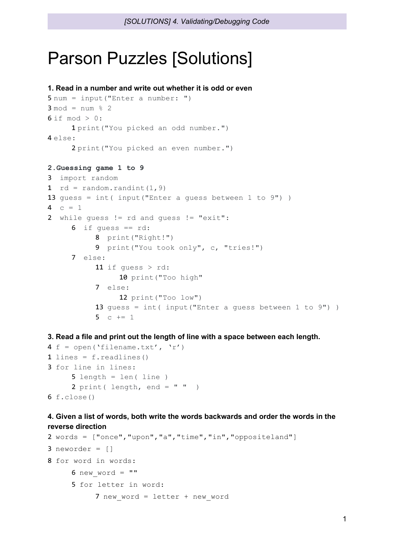## Parson Puzzles [Solutions]

```
1. Read in a number and write out whether it is odd or even
5 num = input("Enter a number: ")
3 \mod = \text{num } 26 if mod > 0:
     1 print("You picked an odd number.")
4 else:
     2 print("You picked an even number.")
2.Guessing game 1 to 9
3 import random
1 rd = random.random(1, 9)13 quess = int (input ("Enter a quess between 1 to 9"))
4 c = 12 while guess != rd and guess != "exit":
     6 if quess == rd:
           8 print("Right!")
           9 print("You took only", c, "tries!")
     7 else:
           11 if guess > rd:
                10 print ("Too high"
           7 else:
                12 print("Too low")
           13 guess = int( input("Enter a guess between 1 to 9") )
           5 c += 1
```
**3. Read a file and print out the length of line with a space between each length.**

```
4 f = open('filename.txt', 'r')
1 lines = f.readlines()3 for line in lines:
     5 length = len( line )
     2 print( length, end = " " )6 f.close()
```
## **4. Given a list of words, both write the words backwards and order the words in the reverse direction**

```
2 words = ["once","upon","a","time","in","oppositeland"]
3 neworder = []
8 for word in words:
     6 new word = ""
     5 for letter in word:
           7 new word = letter + new word
```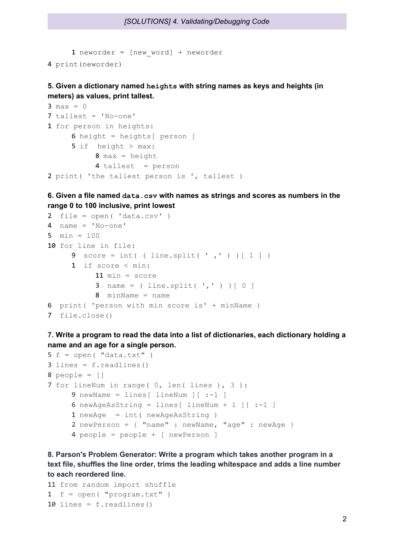1 neworder =  $[new word] + neworder$ 4 print(neworder)

**5. Given a dictionary named heights with string names as keys and heights (in meters) as values, print tallest.**

```
3 max = 07 tallest = 'No-one'
1 for person in heights:
     6 height = heights[ person ]
     5 if height > max:
          8 max = height
          4 tallest = person
2 print( 'the tallest person is ', tallest )
```

```
6. Given a file named data.csv with names as strings and scores as numbers in the
range 0 to 100 inclusive, print lowest
```

```
2 file = open('data.csv')4 name = 'No-one'
5 min = 10010 for line in file:
     9 score = int( ( line.split( ',' ) ) [ 1 ] )
     1 if score < min:
          11 min = score
          3 name = ( line.split(','') ) [ 0 ]8 minName = name
6 print( 'person with min score is' + minName )
7 file.close()
```

```
7. Write a program to read the data into a list of dictionaries, each dictionary holding a
name and an age for a single person.
```

```
5 f = open('data.txt")3 lines = f.readlines()
8 people = [ ]7 for lineNum in range( 0, len( lines ), 3 ):
     9 newName = lines [ lineNum ] [-1]6 newAgeAsString = lines[ lineNum + 1 ] [-1]1 newAge = int( newAgeAsString )
     2 newPerson = { "name" : newName, "age" : newAge }
     4 people = people + [ newPerson ]
```
**8. Parson's Problem Generator: Write a program which takes another program in a text file, shuffles the line order, trims the leading whitespace and adds a line number to each reordered line.**

```
11 from random import shuffle
1 f = open( "program.txt")
10 lines = f.readlines()
```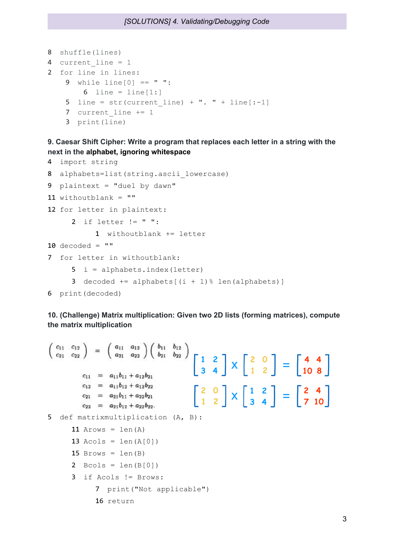```
8 shuffle(lines)
4 current line = 1
2 for line in lines:
   9 while line[0] == " ":
       6 line = line[1:]5 line = str(current line) + ". " + line[-1]7 current line += 1
    3 print(line)
```
## **9. Caesar Shift Cipher: Write a program that replaces each letter in a string with the next in the alphabet, ignoring whitespace**

```
4 import string
8 alphabets=list(string.ascii lowercase)
9 plaintext = "duel by dawn"
11 withoutblank = ""
12 for letter in plaintext:
     2 if letter != " ":
          1 withoutblank += letter
10 decoded = ""
7 for letter in withoutblank:
     5 i = alphabets.index(letter)
     3 decoded += alphabets[(i + 1) [ len(alphabets)]
6 print(decoded)
```
## **10. (Challenge) Matrix multiplication: Given two 2D lists (forming matrices), compute the matrix multiplication**

```
\begin{pmatrix} c_{11} & c_{12} \\ c_{21} & c_{22} \end{pmatrix} = \begin{pmatrix} a_{11} & a_{12} \\ a_{21} & a_{22} \end{pmatrix} \begin{pmatrix} b_{11} & b_{12} \\ b_{21} & b_{22} \end{pmatrix}<br>
c_{11} = a_{11}b_{11} + a_{12}b_{21}<br>
\begin{bmatrix} 1 & 2 \\ 3 & 4 \end{bmatrix} X \begin{bmatrix} 2 & 0 \\ 1 & 2 \end{bmatrix} = \begin{bmatrix} 4 & 4 \\ 10 & 8 \end{bmatrix}c_{12} = a_{11}b_{12} + a_{12}b_{22}\begin{bmatrix} 2 & 0 \\ 1 & 2 \end{bmatrix} \times \begin{bmatrix} 1 & 2 \\ 3 & 4 \end{bmatrix} = \begin{bmatrix} 2 & 4 \\ 7 & 10 \end{bmatrix}c_{21} = a_{21}b_{11} + a_{22}b_{21}c_{22} = a_{21}b_{12} + a_{22}b_{22}.5 def matrixmultiplication (A, B):
              11 Arows = len(A)13 Acols = len(A[0])15 Brows = len(B)2 \text{ Bools} = \text{len}(B[0])3 if Acols != Brows:
                            7 print("Not applicable")
```